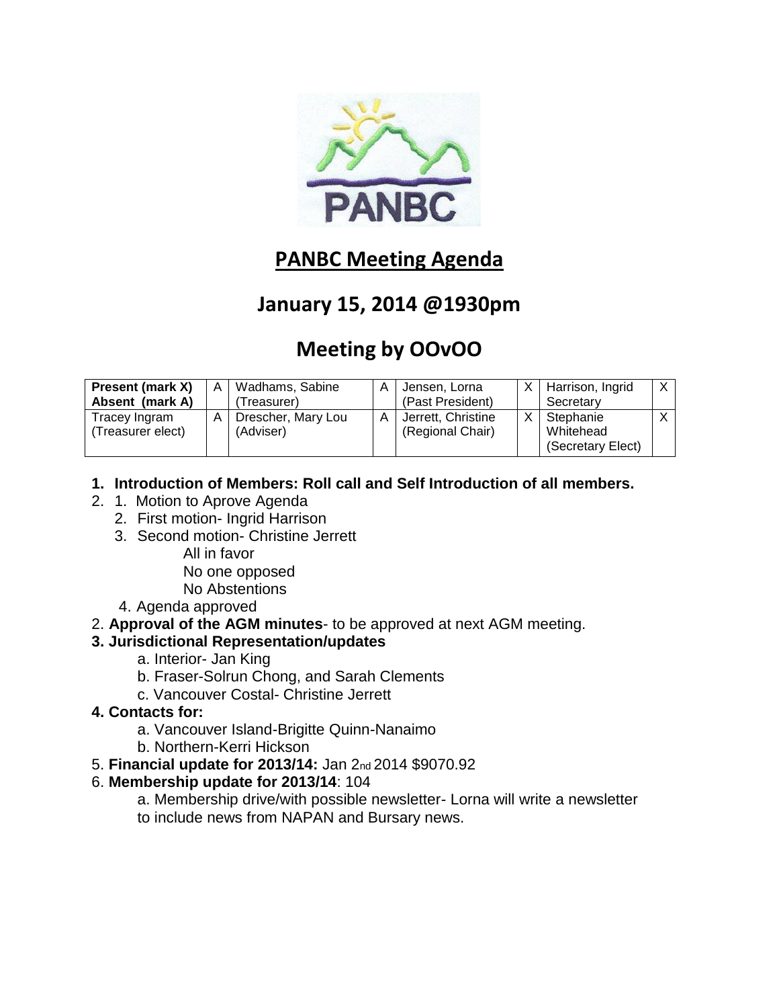

## **PANBC Meeting Agenda**

### **January 15, 2014 @1930pm**

# **Meeting by OOvOO**

| <b>Present (mark X)</b><br>Absent (mark A) | А | Wadhams, Sabine<br>Treasurer)   | A | Jensen, Lorna<br>(Past President)      | X | Harrison, Ingrid<br>Secretary               |  |
|--------------------------------------------|---|---------------------------------|---|----------------------------------------|---|---------------------------------------------|--|
| Tracey Ingram<br>(Treasurer elect)         |   | Drescher, Mary Lou<br>(Adviser) | A | Jerrett, Christine<br>(Regional Chair) | X | Stephanie<br>Whitehead<br>(Secretary Elect) |  |

#### **1. Introduction of Members: Roll call and Self Introduction of all members.**

- 2. 1. Motion to Aprove Agenda
	- 2. First motion- Ingrid Harrison
	- 3. Second motion- Christine Jerrett
		- All in favor
		- No one opposed
		- No Abstentions
	- 4. Agenda approved
- 2. **Approval of the AGM minutes** to be approved at next AGM meeting.

#### **3. Jurisdictional Representation/updates**

- a. Interior- Jan King
- b. Fraser-Solrun Chong, and Sarah Clements
- c. Vancouver Costal- Christine Jerrett
- **4. Contacts for:**
	- a. Vancouver Island-Brigitte Quinn-Nanaimo
	- b. Northern-Kerri Hickson
- 5. **Financial update for 2013/14:** Jan 2nd 2014 \$9070.92
- 6. **Membership update for 2013/14**: 104
	- a. Membership drive/with possible newsletter- Lorna will write a newsletter to include news from NAPAN and Bursary news.